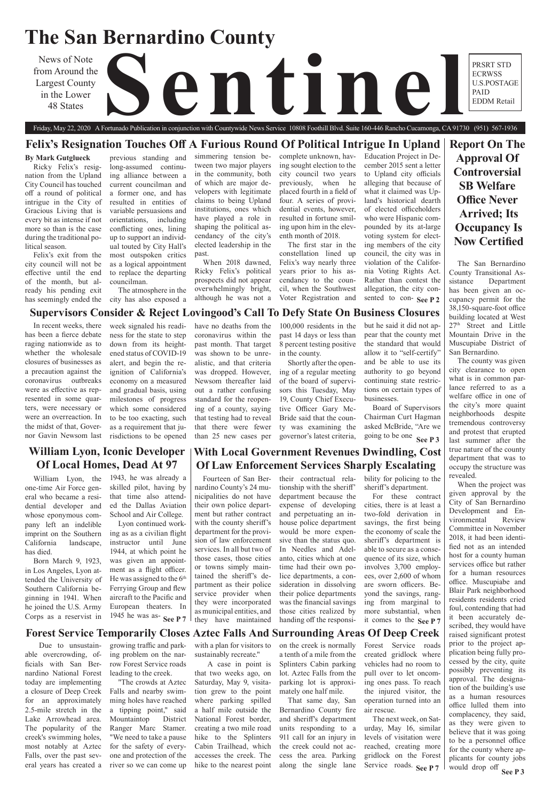# **The San Bernardino County**

from Around the Largest County in the Lower 48 States

News of Note<br>
Largest County<br>
in the Lower<br>
48 States

## Friday, May 22, 2020 A Fortunado Publication in conjunction with Countywide News Service 10808 Foothill Blvd. Suite 160-446 Rancho Cucamonga, CA 91730 (951) 567-1936

**Report On The Approval Of Controversial SB Welfare Office Never Arrived; Its Occupancy Is Now Certified**

## **William Lyon, Iconic Developer Of Local Homes, Dead At 97**

## **With Local Government Revenues Dwindling, Cost Of Law Enforcement Services Sharply Escalating**

## **Supervisors Consider & Reject Lovingood's Call To Defy State On Business Closures**

## **Forest Service Temporarily Closes Aztec Falls And Surrounding Areas Of Deep Creek**

## **Felix's Resignation Touches Off A Furious Round Of Political Intrigue In Upland**

PRSRT STD ECRWSS U.S.POSTAGE PAID EDDM Retail

### **By Mark Gutglueck**

Ricky Felix's resignation from the Upland City Council has touched off a round of political intrigue in the City of Gracious Living that is every bit as intense if not more so than is the case during the traditional political season.

Felix's exit from the city council will not be effective until the end of the month, but already his pending exit has seemingly ended the

sented to con-See P 2 Education Project in December 2015 sent a letter to Upland city officials alleging that because of what it claimed was Upland's historical dearth of elected officeholders who were Hispanic compounded by its at-large voting system for electing members of the city council, the city was in violation of the California Voting Rights Act. Rather than contest the allegation, the city con-

previous standing and long-assumed continuing alliance between a current councilman and a former one, and has resulted in entities of variable persuasions and orientations, including conflicting ones, lining up to support an individual touted by City Hall's most outspoken critics as a logical appointment to replace the departing councilman.

> **See P 7**  $\vert$  they have maintained handing off the responsi- it comes to the See P 7 Fourteen of San Bernardino County's 24 municipalities do not have their own police department but rather contract with the county sheriff's department for the provision of law enforcement services. In all but two of those cases, those cities or towns simply maintained the sheriff's department as their police service provider when they were incorporated as municipal entities, and they have maintained

The atmosphere in the city has also exposed a simmering tension between two major players in the community, both of which are major developers with legitimate claims to being Upland institutions, ones which have played a role in shaping the political ascendancy of the city's elected leadership in the past.

When 2018 dawned, Ricky Felix's political prospects did not appear overwhelmingly bright, although he was not a

complete unknown, having sought election to the city council two years previously, when he placed fourth in a field of four. A series of providential events, however, resulted in fortune smiling upon him in the eleventh month of 2018.

The first star in the constellation lined up Felix's way nearly three years prior to his ascendancy to the council, when the Southwest Voter Registration and

> **See P 3** would drop off When the project was given approval by the City of San Bernardino Development and Environmental Review Committee in November 2018, it had been identified not as an intended host for a county human services office but rather for a human resources office. Muscupiabe and Blair Park neighborhood residents residents cried foul, contending that had it been accurately described, they would have raised significant protest prior to the project application being fully processed by the city, quite possibly preventing its approval. The designation of the building's use as a human resources office lulled them into complacency, they said, as they were given to believe that it was going to be a personnel office for the county where applicants for county jobs

their contractual relationship with the sheriff' department because the expense of developing and perpetuating an inhouse police department would be more expensive than the status quo. In Needles and Adelanto, cities which at one time had their own police departments, a consideration in dissolving their police departments was the financial savings those cities realized by handing off the responsi-

going to be one **See P3** Board of Supervisors Chairman Curt Hagman asked McBride, "Are we

bility for policing to the sheriff's department.

Lyon continued working as as a civilian flight instructor until June 1944, at which point he was given an appointment as a flight officer. He was assigned to the 6<sup>th</sup> Ferrying Group and flew aircraft to the Pacific and European theaters. In 1945 he was as- $\text{See } P7$ 

For these contract cities, there is at least a two-fold derivation in savings, the first being the economy of scale the sheriff's department is able to secure as a consequence of its size, which involves 3,700 employees, over 2,600 of whom are sworn officers. Beyond the savings, ranging from marginal to more substantial, when

The San Bernardino County Transitional Assistance Department has been given an occupancy permit for the 38,150-square-foot office building located at West 27<sup>th</sup> Street and Little Mountain Drive in the Muscupiabe District of San Bernardino.

The county was given city clearance to open what is in common parlance referred to as a welfare office in one of the city's more quaint neighborhoods despite tremendous controversy and protest that erupted last summer after the true nature of the county department that was to occupy the structure was revealed.

Service roads. See P 7 on the creek is normally a tenth of a mile from the Splinters Cabin parking lot. Aztec Falls from the parking lot is approximately one half mile. That same day, San Bernardino County fire and sheriff's department units responding to a 911 call for an injury in the creek could not access the area. Parking along the single lane Forest Service roads created gridlock where vehicles had no room to pull over to let oncoming ones pass. To reach the injured visitor, the operation turned into an air rescue. The next week, on Saturday, May 16, similar levels of visitation were reached, creating more gridlock on the Forest

In recent weeks, there has been a fierce debate raging nationwide as to whether the wholesale closures of businesses as a precaution against the coronavirus outbreaks were as effective as represented in some quarters, were necessary or were an overreaction. In the midst of that, Governor Gavin Newsom last

week signaled his readiness for the state to step down from its heightened status of COVID-19 alert, and begin the reignition of California's economy on a measured and gradual basis, using milestones of progress which some considered to be too exacting, such as a requirement that jurisdictions to be opened

have no deaths from the coronavirus within the past month. That target was shown to be unrealistic, and that criteria was dropped. However, Newsom thereafter laid out a rather confusing standard for the reopening of a county, saying that testing had to reveal that there were fewer than 25 new cases per

100,000 residents in the past 14 days or less than 8 percent testing positive in the county.

Shortly after the opening of a regular meeting of the board of supervisors this Tuesday, May 19, County Chief Executive Officer Gary Mc-Bride said that the county was examining the governor's latest criteria, but he said it did not ap-

pear that the county met the standard that would allow it to "self-certify" and be able to use its authority to go beyond continuing state restrictions on certain types of businesses.

William Lyon, the one-time Air Force general who became a residential developer and whose eponymous company left an indelible imprint on the Southern California landscape, has died.

Born March 9, 1923, in Los Angeles, Lyon attended the University of Southern California beginning in 1941. When he joined the U.S. Army Corps as a reservist in

1943, he was already a skilled pilot, having by that time also attended the Dallas Aviation School and Air College.

 Due to unsustainable overcrowding, officials with San Bernardino National Forest today are implementing a closure of Deep Creek for an approximately 2.5-mile stretch in the Lake Arrowhead area. The popularity of the creek's swimming holes, most notably at Aztec Falls, over the past several years has created a

growing traffic and parking problem on the narrow Forest Service roads leading to the creek. "The crowds at Aztec Falls and nearby swimming holes have reached a tipping point," said Mountaintop District Ranger Marc Stamer. "We need to take a pause for the safety of everyone and protection of the river so we can come up

with a plan for visitors to sustainably recreate." A case in point is that two weeks ago, on Saturday, May 9, visitation grew to the point where parking spilled a half mile outside the National Forest border, creating a two mile road hike to the Splinters Cabin Trailhead, which accesses the creek. The hike to the nearest point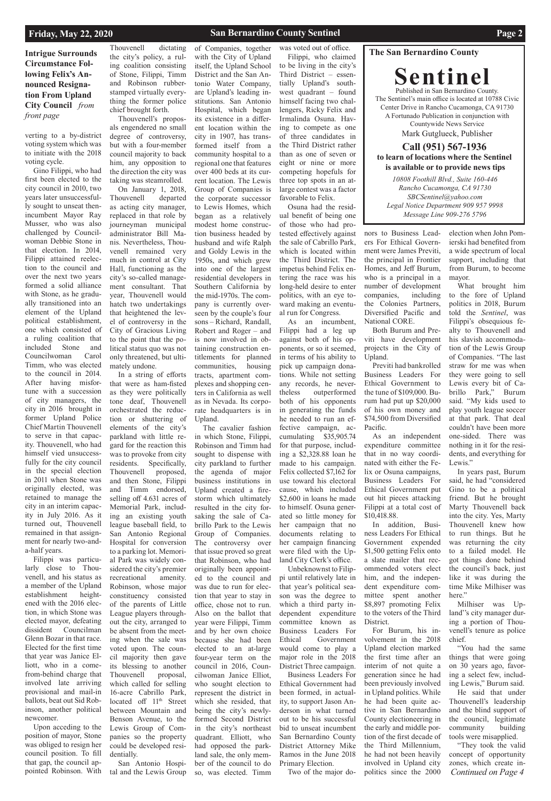### **San Bernardino County Sentinel Page 2**

### **The San Bernardino County**

**Sentinel** Published in San Bernardino County. The Sentinel's main office is located at 10788 Civic Center Drive in Rancho Cucamonga, CA 91730 A Fortunado Publication in conjunction with Countywide News Service Mark Gutglueck, Publisher **Call (951) 567-1936**

**to learn of locations where the Sentinel is available or to provide news tips** 

### **Intrigue Surrounds Circumstance Following Felix's Announced Resignation From Upland City Council** *from front page*

*10808 Foothill Blvd., Suite 160-446 Rancho Cucamonga, CA 91730 SBCSentinel@yahoo.com Legal Notice Department 909 957 9998 Message Line 909-276 5796*

### **Friday, May 22, 2020**

verting to a by-district voting system which was to initiate with the 2018 voting cycle.

Gino Filippi, who had first been elected to the city council in 2010, two years later unsuccessfully sought to unseat thenincumbent Mayor Ray Musser, who was also challenged by Councilwoman Debbie Stone in that election. In 2014, Filippi attained reelection to the council and over the next two years formed a solid alliance with Stone, as he gradually transitioned into an element of the Upland political establishment, one which consisted of a ruling coalition that included Stone and Councilwoman Carol Timm, who was elected to the council in 2014. After having misfortune with a succession of city managers, the city in 2016 brought in former Upland Police Chief Martin Thouvenell to serve in that capacity. Thouvenell, who had himself vied unsuccessfully for the city council in the special election in 2011 when Stone was originally elected, was retained to manage the city in an interim capacity in July 2016. As it turned out, Thouvenell remained in that assignment for nearly two-anda-half years.

Filippi was particularly close to Thouvenell, and his status as a member of the Upland establishment heightened with the 2016 election, in which Stone was elected mayor, defeating

dissident Councilman Glenn Bozar in that race. Elected for the first time that year was Janice Elliott, who in a comefrom-behind charge that involved late arriving provisional and mail-in ballots, beat out Sid Robinson, another political newcomer.

Upon acceding to the position of mayor, Stone was obliged to resign her council position. To fill that gap, the council appointed Robinson. With

Thouvenell dictating the city's policy, a ruling coalition consisting of Stone, Filippi, Timm and Robinson rubberstamped virtually everything the former police chief brought forth.

Thouvenell's proposals engendered no small degree of controversy, but with a four-member council majority to back him, any opposition to the direction the city was taking was steamrolled.

On January 1, 2018, Thouvenell departed as acting city manager, replaced in that role by journeyman municipal administrator Bill Manis. Nevertheless, Thouvenell remained very much in control at City Hall, functioning as the city's so-called management consultant. That year, Thouvenell would hatch two undertakings that heightened the level of controversy in the City of Gracious Living to the point that the political status quo was not only threatened, but ultimately undone.

In a string of efforts that were as ham-fisted as they were politically tone deaf, Thouvenell orchestrated the reduction or shuttering of elements of the city's parkland with little regard for the reaction this was to provoke from city residents. Specifically, Thouvenell proposed, and then Stone, Filippi and Timm endorsed, selling off 4.631 acres of Memorial Park, including an existing youth league baseball field, to San Antonio Regional Hospital for conversion to a parking lot. Memorial Park was widely considered the city's premier recreational amenity. Robinson, whose major constituency consisted of the parents of Little League players throughout the city, arranged to be absent from the meeting when the sale was voted upon. The council majority then gave its blessing to another Thouvenell proposal, which called for selling 16-acre Cabrillo Park, located off 11<sup>th</sup> Street between Mountain and Benson Avenue, to the Lewis Group of Companies so the property could be developed residentially.

San Antonio Hospital and the Lewis Group of Companies, together

with the City of Upland itself, the Upland School District and the San Antonio Water Company, are Upland's leading institutions. San Antonio Hospital, which began its existence in a different location within the city in 1907, has transformed itself from a community hospital to a regional one that features over 400 beds at its current location. The Lewis Group of Companies is the corporate successor to Lewis Homes, which began as a relatively modest home construction business headed by husband and wife Ralph and Goldy Lewis in the 1950s, and which grew into one of the largest residential developers in Southern California by the mid-1970s. The company is currently overseen by the couple's four sons – Richard, Randall, Robert and Roger – and is now involved in obtaining construction entitlements for planned communities, housing tracts, apartment complexes and shopping centers in California as well as in Nevada. Its corporate headquarters is in Upland.

What brought him to the fore of Upland politics in 2018, Burum told the *Sentinel*, was Filippi's obsequious fealty to Thouvenell and his slavish accommodation of the Lewis Group of Companies. "The last straw for me was when they were going to sell Lewis every bit of Cabrillo Park," Burum said. "My kids used to play youth league soccer at that park. That deal couldn't have been more one-sided. There was nothing in it for the residents, and everything for Lewis."

In years past, Burum said, he had "considered Gino to be a political friend. But he brought Marty Thouvenell back into the city. Yes, Marty Thouvenell knew how to run things. But he was returning the city to a failed model. He got things done behind the council's back, just like it was during the time Mike Milhiser was here."

*Continued on Page 4* "You had the same things that were going on 30 years ago, favoring a select few, including Lewis," Burum said. He said that under Thouvenell's leadership and the blind support of the council, legitimate community building tools were misapplied. "They took the valid concept of opportunity zones, which create in-

The cavalier fashion in which Stone, Filippi, Robinson and Timm had sought to dispense with city parkland to further the agenda of major business institutions in Upland created a firestorm which ultimately resulted in the city forsaking the sale of Cabrillo Park to the Lewis Group of Companies. The controversy over that issue proved so great that Robinson, who had originally been appointed to the council and was due to run for election that year to stay in office, chose not to run. Also on the ballot that year were Filippi, Timm and by her own choice because she had been elected to an at-large four-year term on the council in 2016, Councilwoman Janice Elliot, who sought election to represent the district in which she resided, that being the city's newlyformed Second District in the city's northeast quadrant. Elliott, who had opposed the parkland sale, the only member of the council to do so, was elected. Timm

was voted out of office. Filippi, who claimed to be living in the city's Third District – essentially Upland's southwest quadrant – found himself facing two challengers, Ricky Felix and Irmalinda Osuna. Having to compete as one of three candidates in the Third District rather than as one of seven or eight or nine or more competing hopefuls for three top spots in an atlarge contest was a factor favorable to Felix.

Osuna had the residual benefit of being one of those who had protested effectively against the sale of Cabrillo Park, which is located within the Third District. The impetus behind Felix entering the race was his long-held desire to enter politics, with an eye toward making an eventual run for Congress. As an incumbent,

Filippi had a leg up against both of his opponents, or so it seemed, in terms of his ability to pick up campaign donations. While not setting any records, he nevertheless outperformed both of his opponents in generating the funds he needed to run an effective campaign, accumulating \$35,905.74 for that purpose, including a \$2,328.88 loan he made to his campaign. Felix collected \$7,162 for use toward his electoral cause, which included \$2,600 in loans he made to himself. Osuna generated so little money for her campaign that no documents relating to her campaign financing were filed with the Upland City Clerk's office.

Unbeknownst to Filippi until relatively late in that year's political season was the degree to which a third party independent expenditure committee known as Business Leaders For Ethical Government would come to play a major role in the 2018 District Three campaign. Business Leaders For Ethical Government had been formed, in actuality, to support Jason Anderson in what turned out to be his successful bid to unseat incumbent San Bernardino County District Attorney Mike Ramos in the June 2018 Primary Election. Two of the major donors to Business Leaders For Ethical Government were James Previti, the principal in Frontier Homes, and Jeff Burum, who is a principal in a number of development companies, including the Colonies Partners, Diversified Pacific and National CORE.

Both Burum and Previti have development projects in the City of Upland.

Previti had bankrolled Business Leaders For Ethical Government to the tune of \$109,000. Burum had put up \$20,000 of his own money and \$74,500 from Diversified Pacific.

As an independent expenditure committee that in no way coordinated with either the Felix or Osuna campaigns, Business Leaders For Ethical Government put out hit pieces attacking Filippi at a total cost of \$10,418.88.

In addition, Business Leaders For Ethical Government expended \$1,500 getting Felix onto a slate mailer that recommended voters elect him, and the independent expenditure committee spent another \$8,897 promoting Felix to the voters of the Third District.

Upland election marked the first time after an interim of not quite a generation since he had been previously involved in Upland politics. While he had been quite active in San Bernardino County electioneering in the early and middle portion of the first decade of the Third Millennium, he had not been heavily involved in Upland city politics since the 2000

election when John Pomierski had benefited from a wide spectrum of local support, including that from Burum, to become mayor.

For Burum, his involvement in the 2018 venell's tenure as police chief.

Milhiser was Upland''s city manager during a portion of Thou-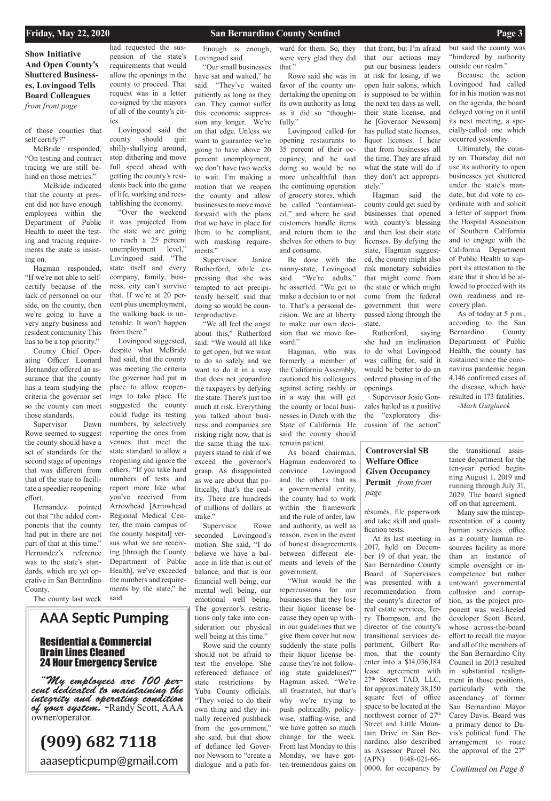### **Friday, May 22, 2020 San Bernardino County Sentinel Page 3**

*Continued on Page 8*

### **Show Initiative And Open County's Shuttered Businesses, Lovingood Tells Board Colleagues**  *from front page*

résumés, file paperwork and take skill and qualification tests.

Many saw the misrepresentation of a county human services office as a county human resources facility as more than an instance of simple oversight or incompetence but rather untoward governmental collusion and corruption, as the project proponent was well-heeled developer Scott Beard, whose across-the-board effort to recall the mayor and all of the members of the San Bernardino City Council in 2013 resulted in substantial realignment in those positions, particularly with the ascendancy of former San Bernardino Mayor Carey Davis. Beard was a primary donor to Davis's political fund. The arrangement to route the approval of the 27<sup>th</sup>

At its last meeting in 2017, held on December 19 of that year, the San Bernardino County Board of Supervisors was presented with a recommendation from the county's director of real estate services, Terry Thompson, and the director of the county's transitional services department, Gilbert Ramos, that the county enter into a \$14,036,184 lease agreement with 27<sup>th</sup> Street TAD, LLC, for approximately 38,150 square feet of office space to be located at the northwest corner of 27<sup>th</sup> Street and Little Mountain Drive in San Bernardino, also described as Assessor Parcel No. (APN) 0148-021-66- 0000, for occupancy by

the transitional assistance department for the ten-year period beginning August 1, 2019 and running through July 31, 2029. The board signed off on that agreement.

of those counties that self certify?"

McBride responded, "On testing and contract tracing we are still behind on those metrics."

 McBride indicated that the county at present did not have enough employees within the Department of Public Health to meet the testing and tracing requirements the state is insisting on.

Hagman responded, "If we're not able to selfcertify because of the lack of personnel on our side, on the county, then we're going to have a very angry business and resident community This has to be a top priority."

County Chief Operating Officer Leonard Hernandez offered an assurance that the county has a team studying the criteria the governor set so the county can meet those standards.

Supervisor Dawn Rowe seemed to suggest the county should have a set of standards for the second stage of openings that was different from that of the state to facilitate a speedier reopening effort.

Hernandez pointed out that "the added components that the county had put in there are not part of that at this time." Hernandez's reference was to the state's standards, which are yet operative in San Bernrdino County.

The county last week

had requested the suspension of the state's requirements that would allow the openings in the county to proceed. That request was in a letter co-signed by the mayors of all of the county's cities.

Lovingood said the county should quit shilly-shallying around, stop dithering and move full speed ahead with getting the county's residents back into the game of life, working and reestablishing the economy.

"Over the weekend it was projected from the state we are going to reach a 25 percent unemployment level," Lovingood said. "The state itself and every company, family, business, city can't survive that. If we're at 20 percent plus unemployment, the walking back is untenable. It won't happen from there."

Lovingood suggested, despite what McBride had said, that the county was meeting the criteria the governor had put in place to allow reopenings to take place. He suggested the county could fudge its testing numbers, by selectively reporting the ones from venues that meet the state standard to allow a reopening and ignore the others. "If you take hard numbers of tests and report more like what you've received from Arrowhead [Arrowhead Regional Medical Center, the main campus of the county hospital] versus what we are receiving [through the County Department of Public Health], we've exceeded the numbers and requirements by the state," he said.

Enough is enough, Lovingood said.

"Our small businesses have sat and waited," he said. "They've waited patiently as long as they can. They cannot suffer this economic suppression any longer. We're on that edge. Unless we want to guarantee we're going to have above 20 percent unemployment, we don't have two weeks to wait. I'm making a motion that we reopen the county and allow businesses to move move forward with the plans that we have in place for them to be compliant, with masking requirements."

Supervisor Janice Rutherford, while expressing that she was tempted to act precipitously herself, said that doing so would be counterproductive.

"We all feel the angst about this," Rutherford said. "We would all like to get open, but we want to do so safely and we want to do it in a way that does not jeopardize the taxpayers by defying the state. There's just too much at risk. Everything you talked about business and companies are risking right now, that is the same thing the taxpayers stand to risk if we exceed the governor's grasp. As disappointed as we are about that politically, that's the reality. There are hundreds of millions of dollars at stake."

Supervisor Rowe seconded Lovingood's motion. She said, "I do believe we have a balance in life that is out of balance, and that is our financial well being, our mental well being, our emotional well being. The governor's restrictions only take into consideration our physical well being at this time." Rowe said the county should not be afraid to test the envelope. She referenced defiance of state restrictions by Yuba County officials. "They voted to do their own thing and they initially received pushback from the government," she said, but that show of defiance led Governor Newsom to "create a dialogue and a path for-

ward for them. So, they were very glad they did that."

Rowe said she was in favor of the county undertaking the opening on its own authority as long as it did so "thoughtfully."

Lovingood called for opening restaurants to 35 percent of their occupancy, and he said doing so would be no more unhealthful than the continuing operation of grocery stores, which he called "contaminated," and where he said customers handle items and return them to the shelves for others to buy and consume.

Be done with the nanny-state, Lovingood said. "We're adults," he asserted. "We get to make a decision to or not to. That's a personal decision. We are at liberty to make our own decision that we move forward."

Hagman, who was formerly a member of the California Assembly, cautioned his colleagues against acting rashly or in a way that will get the county or local businesses in Dutch with the State of California. He said the county should remain patient.

As board chairman, Hagman endeavored to convince Lovingood and the others that as a governmental entity, the county had to work within the framework and the rule of order, law and authority, as well as reason, even in the event of honest disagreements between different elements and levels of the government.

"What would be the repercussions for our businesses that they lose their liquor license because they open up within our guidelines that we give them cover but now suddenly the state pulls their liquor license because they're not following state guidelines?" Hagman asked. "We're all frustrated, but that's why we're trying to push politically, policywise, staffing-wise, and we have gotten so much change for the week. From last Monday to this Monday, we have gotten tremendous gains on

that front, but I'm afraid that our actions may put our business leaders at risk for losing, if we open hair salons, which is supposed to be within the next ten days as well, their state license, and he [Governor Newsom] has pulled state licenses, liquor licenses. I hear that from businesses all the time. They are afraid what the state will do if they don't act appropriately."

Hagman said the county could get sued by businesses that opened with county's blessing and then lost their state licenses. By defying the state, Hagman suggested, the county might also risk monetary subsidies that might come from the state or which might come from the federal government that were passed along through the state.

Rutherford, saying she had an inclination to do what Lovingood was calling for, said it would be better to do an ordered phasing in of the openings.

Supervisor Josie Gonzales hailed as a positive the "exploratory discussion of the action"

but said the county was "hindered by authority outside our realm."

Because the action Lovingood had called for in his motion was not on the agenda, the board delayed voting on it until its next meeting, a specially-called one which occurred yesterday.

Ultimately, the county on Thursday did not use its authority to open businesses yet shuttered under the state's mandate, but did vote to coordinate with and solicit a letter of support from the Hospital Association of Southern California and to engage with the California Department of Public Health to support its attestation to the state that it should be allowed to proceed with its own readiness and recovery plan.

As of today at 5 p.m., according to the San Bernardino County Department of Public Health, the county has sustained since the coronavirus pandemic began 4,146 confirmed cases of the disease, which have resulted in 173 fatalities.

*-Mark Gutglueck*

**AAA Septic Pumping**

## Residential & Commercial Drain Lines Cleaned 24 Hour Emergency Service

*"My employees are 100 per- cent dedicated to maintaining the integrity and operating condition of your system. -*Randy Scott, AAA owner/operator.

# **(909) 682 7118**

aaasepticpump@gmail.com

### **Controversial SB Welfare Office Given Occupancy Permit** *from front page*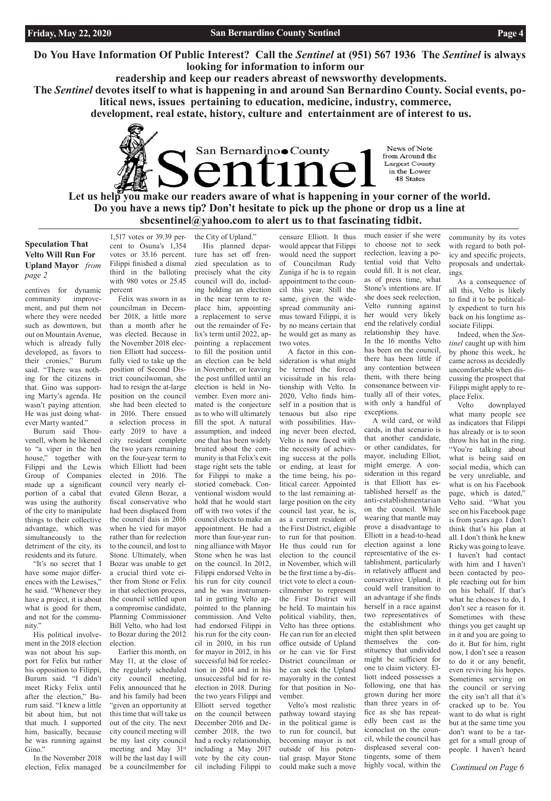**Do You Have Information Of Public Interest? Call the** *Sentinel* **at (951) 567 1936 The** *Sentinel* **is always looking for information to inform our**

 **readership and keep our readers abreast of newsworthy developments.**

San Bernardino County

**The** *Sentinel* **devotes itself to what is happening in and around San Bernardino County. Social events, political news, issues pertaining to education, medicine, industry, commerce,**

Let us help you make our readers aware of what is happening in your corner of the world. **Do you have a news tip? Don't hesitate to pick up the phone or drop us a line at sbcsentinel@yahoo.com to alert us to that fascinating tidbit.**

 **development, real estate, history, culture and entertainment are of interest to us.** 

News of Note from Around the Largest County in the Lower 48 States

*Continued on Page 6*

### **Speculation That Velto Will Run For Upland Mayor** *from page 2*

centives for dynamic community improvement, and put them not where they were needed such as downtown, but out on Mountain Avenue, which is already fully developed, as favors to their cronies," Burum said. "There was nothing for the citizens in that. Gino was supporting Marty's agenda. He wasn't paying attention. He was just doing whatever Marty wanted."

Burum said Thouvenell, whom he likened to "a viper in the hen house," together with Filippi and the Lewis Group of Companies made up a significant portion of a cabal that was using the authority of the city to manipulate things to their collective advantage, which was simultaneously to the detriment of the city, its residents and its future.

"It's no secret that I have some major differences with the Lewises," he said. "Whenever they have a project, it is about what is good for them, and not for the commu-

His political involvement in the 2018 election was not about his support for Felix but rather his opposition to Filippi, Burum said. "I didn't meet Ricky Felix until after the election," Burum said. "I knew a little bit about him, but not that much. I supported him, basically, because he was running against Gino."

In the November 2018 election, Felix managed

1,517 votes or 39.39 percent to Osuna's 1,354 votes or 35.16 percent. Filippi finished a dismal third in the balloting with 980 votes or 25.45 percent

Felix was sworn in as councilman in December 2018, a little more than a month after he was elected. Because in the November 2018 election Elliott had successfully vied to take up the position of Second District councilwoman, she had to resign the at-large position on the council she had been elected to in 2016. There ensued a selection process in early 2019 to have a city resident complete the two years remaining on the four-year term to which Elliott had been elected in 2016. The council very nearly elevated Glenn Bozar, a fiscal conservative who had been displaced from the council dais in 2016 when he vied for mayor rather than for reelection to the council, and lost to Stone. Ultimately, when Bozar was unable to get a crucial third vote either from Stone or Felix in that selection process, the council settled upon a compromise candidate, Planning Commissioner Bill Velto, who had lost to Bozar during the 2012 election. Earlier this month, on May 11, at the close of the regularly scheduled city council meeting, Felix announced that he and his family had been "given an opportunity at this time that will take us out of the city. The next city council meeting will be my last city council meeting and May 31st will be the last day I will be a councilmember for

the City of Upland." His planned departure has set off frenzied speculation as to precisely what the city council will do, including holding an election in the near term to replace him, appointing a replacement to serve out the remainder of Felix's term until 2022, appointing a replacement to fill the position until an election can be held in November, or leaving the post unfilled until an election is held in November. Even more animated is the conjecture as to who will ultimately fill the spot. A natural assumption, and indeed one that has been widely bruited about the community is that Felix's exit stage right sets the table for Filippi to make a storied comeback. Conventional wisdom would hold that he would start off with two votes if the council elects to make an appointment. He had a more than four-year running alliance with Mayor Stone when he was last on the council. In 2012, Filippi endorsed Velto in his run for city council and he was instrumental in getting Velto appointed to the planning commission. And Velto had endorsed Filippi in his run for the city council in 2010, in his run for mayor in 2012, in his successful bid for reelection in 2014 and in his unsuccessful bid for reelection in 2018. During the two years Filippi and Elliott served together on the council between December 2016 and December 2018, the two had a rocky relationship, including a May 2017 vote by the city council including Filippi to

censure Elliott. It thus would appear that Filippi would need the support of Councilman Rudy Zuniga if he is to regain appointment to the council this year. Still the same, given the widespread community animus toward Filippi, it is by no means certain that he would get as many as two votes. A factor in this con-

sideration is what might be termed the forced vicissitude in his relationship with Velto. In 2020, Velto finds himself in a position that is tenuous but also ripe with possibilities. Having never been elected, Velto is now faced with the necessity of achieving success at the polls or ending, at least for the time being, his political career. Appointed to the last remaining atlarge position on the city council last year, he is, as a current resident of the First District, eligible to run for that position. He thus could run for election to the council in November, which will be the first time a by-district vote to elect a councilmember to represent the First District will be held. To maintain his political viability, then, Velto has three options. He can run for an elected office outside of Upland or he can vie for First District councilman or he can seek the Upland mayoralty in the contest for that position in November. Velto's most realistic pathway toward staying in the political game is to run for council, but becoming mayor is not outside of his potential grasp. Mayor Stone could make such a move

much easier if she were to choose not to seek reelection, leaving a potential void that Velto could fill. It is not clear, as of press time, what Stone's intentions are. If she does seek reelection, Velto running against her would very likely end the relatively cordial relationship they have. In the 16 months Velto has been on the council, there has been little if any contention between them, with there being consonance between virtually all of their votes, with only a handful of exceptions.

A wild card, or wild cards, in that scenario is that another candidate, or other candidates, for mayor, including Elliot, might emerge. A consideration in this regard is that Elliott has established herself as the anti-establishmentarian on the council. While wearing that mantle may prove a disadvantage to Elliott in a head-to-head election against a lone representative of the establishment, particularly in relatively affluent and conservative Upland, it could well transition to an advantage if she finds herself in a race against two representatives of the establishment who might then split between themselves the constituency that undivided might be sufficient for one to claim victory. Elliott indeed possesses a following, one that has grown during her more than three years in office as she has repeatedly been cast as the iconoclast on the council, while the council has displeased several contingents, some of them highly vocal, within the

community by its votes with regard to both policy and specific projects, proposals and undertakings.

As a consequence of all this, Velto is likely to find it to be politically expedient to turn his back on his longtime associate Filippi.

Indeed, when the *Sentinel* caught up with him by phone this week, he came across as decidedly uncomfortable when discussing the prospect that Filippi might apply to replace Felix.

Velto downplayed what many people see as indicators that Filippi has already or is to soon throw his hat in the ring. "You're talking about what is being said on social media, which can be very unreliable, and what is on his Facebook page, which is dated," Velto said. "What you see on his Facebook page is from years ago. I don't think that's his plan at all. I don't think he knew Ricky was going to leave. I haven't had contact with him and I haven't been contacted by people reaching out for him on his behalf. If that's what he chooses to do, I don't see a reason for it. Sometimes with these things you get caught up in it and you are going to do it. But for him, right now, I don't see a reason to do it or any benefit, even reviving his hopes. Sometimes serving on the council or serving the city isn't all that it's cracked up to be. You want to do what is right but at the same time you don't want to be a target for a small group of people. I haven't heard

nity.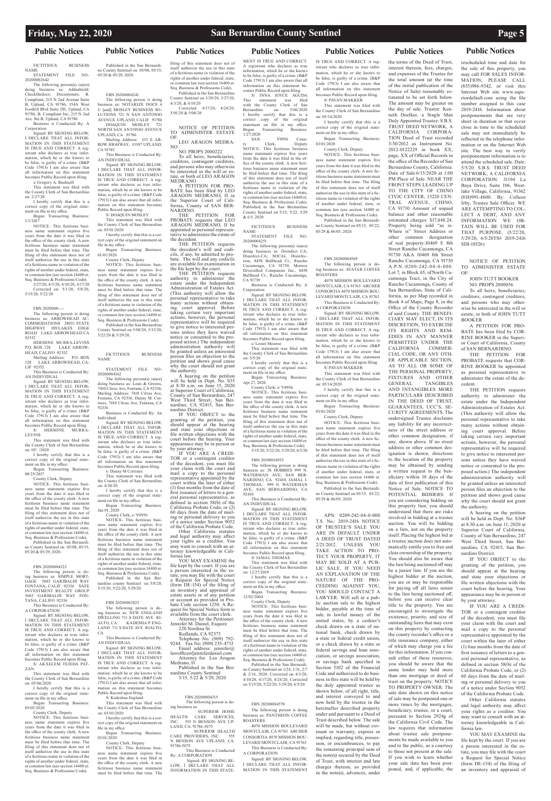## **Public Notices Public Notices Public Notices Public Notices Public Notices Public Notices Public Notices**

FICTITIOUS BUSINESS NAME STATEMENT FILE NO-20200002642

The following person(s) is(are)<br>doing business as: Addashield; doing business as: Addashield; Checkthedocs; Documinute; B. Compliant, 215 N 2nd Avenue Suite B, Upland, CA 91786, 154A West Foothill Blvd Suite 281, Upland, CA 91786, B. Compliant Inc, 215 N 2nd Ave. Ste B, Upland, CA 91786

ment on file in my office. Began Transacting Business:

Business is Conducted By: A Corporation Signed: BY SIGNING BELOW, I DECLARE THAT ALL INFOR-

MATION IN THIS STATEMENT IS TRUE AND CORRECT. A registrant who declares as true information, which he or she knows to be false, is guilty of a crime. (B&P Code 17913) I am also aware that all information on this statement becomes Public Record upon filing. s/ Gregory A. Bushnell

This statement was filed with the County Clerk of San Bernardino on: 2/27/20

I hereby certify that this is a correct copy of the original state-

1/1/2017 NOTICE- This fictitious business name statement expires five years from the date it was filed in the office of the county clerk. A new fictitious business name statement must be filed before that time. The filing of this statement does not of itself authorize the use in this state of a fictitious name in violation of the rights of another under federal, state, common law (see section 14400 et. Seq. Business & Professions Code). 3/27/20, 4/3/20, 4/10/20, 4/17/20

Published in the San Bernardi no County Sentinel on 05/08, 05/15, 05/20 & 05/29, 2020.

Corrected on: 5/1/20, 5/8/20, 5/15/20, 5/22/20

FBN 2020000--

The following person is doing business as: ARROWHEAD AC COMMODATIONS 28051 STATE HIGHWAY 189/LAKES EDGE ROAD LAKE ARROWHEAD CA 92352 HERMINE MURRA-LEVINS

P.O. BOX 128 LAKE ARROW-HEAD, CALIFO 92352 Mailing Address: P.O. BOX

128 LAKE ARROWHEAD, CA-

LIF 92352 This Business is Conducted By: AN INDIVIDUAL

Signed: BY SIGNING BELOW, I DECLARE THAT ALL INFOR-MATION IN THIS STATEMENT IS TRUE AND CORRECT. A registrant who declares as true information, which he or she knows to be false, is guilty of a crime. (B&P Code 17913) I am also aware that all information on this statement becomes Public Record upon filing. S/ HERMINE MURRA-

LEVINS<br>This stater ent was filed with

DOAQUIN NORTH SAN ANTONIO AVENUE UPLAND, CA 91786 Mailing Address: 333 E AR-ROW HIGHWAY, #1107 UPLAND,

the County Clerk of San Bernardino on: 05/ /2020 I hereby certify that this is a

correct copy of the original statement on file in my office. Began Transacting Business:

08/25/2017

County Clerk, Deputy NOTICE- This fictitious busi-

ness name statement expires five years from the date it was filed in the office of the county clerk. A new fictitious business name statement must be filed before that time. The filing of this statement does not of itself authorize the use in this state of a fictitious name in violation of the rights of another under federal, state, or common law (see section 14400 et. Seq. Business & Professions Code).

The following person(s) is(are) ng business as: Lean & Greens 7410 Citrus Ave, Fontana, CA 92336, Mailing Address: 7410 Citrus Ave, Fontana, CA 92336, Danny M. Cortines, 7410 Citrus Ave, Fontana, CA 92336 West Third Street, San Ber-<br>nardino, CA 92415, San Ber-<br>nardino District.

FBN 20200004323

The following person is do-ing business as: SIMPLE MORT-GAGE 5603 GARIBALDI WAY FONTANA, CALIF 92336 SAFE INVESTMENT REALTY GROUP 5603 GARIBALDI WAY FON-TANA, CALIFO 92336

This Business is Conducted By: A CORPORATION

on:  $4/30/20$ I hereby certify that this is a

Signed: BY SIGNING BELOW, I DECLARE THAT ALL INFOR-

MATION IN THIS STATEMENT IS TRUE AND CORRECT. A registrant who declares as true information, which he or she knows to be false, is guilty of a crime. (B&P Code 17913) I am also aware that all information on this statement becomes Public Record upon filing. S/ AKXELEM TEJEDA PAT- must be filed before that time. The filing of this statement does not of itself authorize the use in this state of a fictitious name in violation of the rights of another under federal, state, or common law (see section 14400 et. Seq. Business & Professions Code). Published in the San Ber-

ZAN

This statement was filed with the County Clerk of San Bernardino on: 05/06/2020

I hereby certify that this is a correct copy of the original stateI DECLARE THAT ALL INFOR-MATION IN THIS STATEMENT IS TRUE AND CORRECT. A registrant who declares as true information, which he or she knows to be false, is guilty of a crime. (B&P Code 17913) I am also aware that all information on this statement becomes

ment on file in my office. Began Transacting Business: 05/03/2020

Public Record upon filing. S/ Kadeshaa England

Began Transacting Business: 03/01/2020

County Clerk, Deputy NOTICE- This fictitious business name statement expires five years from the date it was filed in the office of the county clerk. A new fictitious business name statement must be filed before that time. The filing of this statement does not of itself authorize the use in this state of a fictitious name in violation of the rights of another under federal, state, or common law (see section 14400 et. Seq. Business & Professions Code).

OF: LEO ARAGON MEDRA-NO

NO. PROPS 2000222 To all heirs, beneficiaries, creditors, contingent creditors, and persons who may otherwise be interested in the will or es-<br>tate, or both of LEO ARAGON

MEDRANO A PETITION FOR PRO- BATE has been filed by LEO ARAGON MEDRANO, II in the Superior Court of Cali-<br>fornia, County of SAN BER-

Published in the San Bernardio County Sentinel on 05/08, 05/15, 05/20 & 05/29, 2020.

### FBN 20200004241

CA 91785 This Business is Conducted By:

AN INDIVIDUAL Signed: BY SIGNING BELOW, I DECLARE THAT ALL INFOR-MATION IN THIS STATEMENT IS TRUE AND CORRECT. A registrant who declares as true information, which he or she knows to be false, is guilty of a crime. (B&P Code 17913) I am also aware that all information on this statement becomes Public Record upon filing.

S/ DOAQUIN MOSLEY This statement was filed with the County Clerk of San Bernardino on: 05/01/2020

I hereby certify that this is a correct copy of the original statement on file in my office.

Began Transacting Business: 01/01/2020

County Clerk, Deputy

60 days from the date of mail- ing or personal delivery to you of a notice under Section 9052 of the California Probate Code. Other California statutes and legal authority may affect your rights as a creditor. You may want to consult with an at-<br>torney knowledgeable in Cali-<br>fornia law. YOU MAY EXAMINE the file kept by the court. If you are<br>a person interested in the esa person interested in the es-<br>tate, you may file with the court<br>a Request for Special Notice<br>(form DE-154) of the filing of an inventory and appraisal of estate assets or of any petition<br>or account as provided in Pro-

NOTICE- This fictitious business name statement expires five years from the date it was filed in the office of the county clerk. A new fictitious business name statement must be filed before that time. The filing of this statement does not of itself authorize the use in this state of a fictitious name in violation of the rights of another under federal, state, or common law (see section 14400 et. Seq. Business & Professions Code). Published in the San Bernardino County Sentinel on 5/08/20, 5/15/20, 5/22/20 & 5/29/20..

> Attorney for the Petitioner: Jennifer M. Daniel, Esquire 220 Nordina St. Redlands, CA 92373 Telephone No: (909) 792- 9244 Fax No: (909) 235-4733 Email address: jennifer@ lawofficeofjenniferdaniel.com Attorney for Leo Aragon Medrano, II<br>Published in the San Ber-

Published in the San Ber-<br>nardino County Sentinel<br>5/15, 5/22 & 5/29, 2020

|             | <b>FICTITIOUS</b> | <b>BUSINESS</b> |
|-------------|-------------------|-----------------|
| <b>NAME</b> |                   |                 |
|             |                   |                 |

STATEMENT FILE NO-20200004162

> CARE PROVIDERS, INC. 555 N BENSON AVE UPLAND, CA. 91786-5075<br>This Business is Conducted

This Business is Conducted<br>By: A CORPORATION<br>Signed: BY SIGNING BE-<br>LOW, I DECLARE THAT ALL<br>INFORMATION IN THIS STATE-

Business is Conducted By: An Individual

Signed: BY SIGNING BELOW, I DECLARE THAT ALL INFOR-MATION IN THIS STATEMENT IS TRUE AND CORRECT. A registrant who declares as true information, which he or she knows to be false, is guilty of a crime. (B&P Code 17913) I am also aware that all information on this statement becomes Public Record upon filing.

s/ Danny M Cortines This statement was filed with the County Clerk of San Bernardino

The following person is doing business as: NOTARIZE DOCS 4 U [and] MOSLEY BUSINESS SO-LUTIONS 721 N SAN ANTONIO AVENUE UPLAND, CALIF 91786<br>DOAOUIN MOSLEY 721 5/01/20 & 5/08/20

correct copy of the original state-ment on file in my office. Began Transacting Business:

Jan 01, 2020 County Clerk, s/ V0956 NOTICE- This fictitious business name statement expires five years from the date it was filed in the office of the county clerk. A new fictitious business name statement

many actions without obtain-<br>ing court approval. Before taking certain very important actions, however, the personal representative will be required to give notice to interested per-<br>sons unless they have waived<br>notice or consented to the proposed action.) The independent administration authority will be granted unless an interested I DECLARE THAT ALL INFOR-MATION IN THIS STATEMENT IS TRUE AND CORRECT. A registrant who declares as true infor-mation, which he or she knows to be false, is guilty of a crime. (B&P Code 17913) I am also aware that all information on this statement becomes Public Record upon filing. s/ Lester Monroe This statement was filed with the County Clerk of San Bernardino

nardino county Sentinel on 5/8/20, 5/15/20, 5/22/20, 5/29/20

### FBN 20200002823

The following person is doing business as: JS HOBBIES 999 N. WATERMAN AVE, SAN BER-NARDINO, CA 92410, JAMAL I. THOMAS, 999 N. WATERMAN AVE, SAN BERNARDINO, CA  $92410$ 

first issuance of letters to a gen-<br>eral personal representative, as<br>defined in section 58(b) of the<br>California Probate Code, or (2) This Business is Conducted By:

CA

This Business is Conducted By: AN INDIVIDUAL Signed: BY SIGNING BELOW,

NOTICE- This fictitious busi-ness name statement expires five years from the date it was filed in the office of the county clerk. A new fictitious business name statement must be filed before that time. The filing of this statement does not of itself authorize the use in this state of a fictitious name in violation of the rights of another under federal, state, or common law (see section 14400 et. Seq. Business & Professions Code). Published in the San Bernardino County Sentinel on 1/24, 1/31, 2/7 & 2/14, 2020. Corrected on 4/3/20, 4/10/20, 4/17/20, 4/24/20, Corrected on  $\frac{5}{15/20}$ ,  $\frac{5}{22/20}$ ,  $\frac{5}{29/20}$ ,  $\frac{6}{5/20}$ 

This statement was filed with the County Clerk of San Bernardino on: 03/03/2020 I hereby certify that this is a cor-

rect copy of the original statement on file in my office.

> County Clerk, Deputy NOTICE- This fictitious busi-

ness name statement expires five years from the date it was filed in the office of the county clerk. A new fictitious business name statement must be filed before that time. The

filing of this statement does not of itself authorize the use in this state of a fictitious name in violation of the rights of another under federal, state, common law (see section 14400 et. Seq. Business & Professions Code).

Published in the San Bernardino County Sentinel on 3/20/20, 3/27/20, 4/3/20, & 4/10/20 Corrected: 4/17/20, 4/24/20,

NOTICE OF PETITION TO ADMINISTER ESTATE

THE PETITION FOR PROBATE requests that LEO ARAGON MEDRANO, II be appointed as personal represen- tative to administer the estate of

the decedent. THE PETITION requests the decedent's will and codi- cils, if any, be admitted to pro- bate. The will and any codicils

are available for examination in the file kept by the court. THE PETITION requests authority to administer the

The following person is do-ing business as: NEW ENGLAND DWELLING 711 S DATE AVE RI-ALTO, CA KADESHA P ENG-LAND 711 S DATE AVE RIALTO, bate Code section 1250. A Request for Special Notice form is available from the court clerk.

the authority.

A hearing on the petition will be held in Dept. No. S35 at 8:30 a.m. on June 15, 2020 at Superior Court of California, County of San Bernardino, 247

IF YOU OBJECT to the granting of the petition, you should appear at the hearing and state your objections file written objections with the court before the hearing. Your appearance may be in person or by your attorney.<br>IF YOU ARE A CREDI-TOR or a contingent creditor of the decedent, you must file your claim with the court and mail a copy to the personal representative appointed by the court within the later of either (1) four months from the date of

estate under the Independent Administration of Estates Act. (This authority will allow the personal representative to take CA 91739 Business is Conducted By: A Corporation Signed: BY SIGNING BELOW,

 FBN 20200004315 The following person is do-

ing business as: SUPERIOR HOME HEALTH CARE SERVICES, INC. 555 N BENSON AVE UP-LAND, CA. 91786-5075 SUPERIOR HEALTH

person files an objection to the petition and shows good cause why the court should not grant on: 5/5/20 I hereby certify that this is a correct copy of the original state-

MENT IS TRUE AND CORRECT. A registrant who declares as true information, which he or she knows to be false, is guilty of a crime. (B&P Code 17913) I am also aware that all information on this statement becomes Public Record upon filing. S/ INNA JOYCE AGUDA This statement was filed with the County Clerk of San

Bernardino on: 5/06/2020 I hereby certify that this is a correct copy of the original statement on file in my office.

SAN V0956 Coun-ty Clerk, Deputy NOTICE- This fictitious business name statement expires five years from the date it was filed in the office of the county clerk. A new fictitious business name statement must be filed before that time. The filing of this statement does not of itself authorize the use in this state of a fictitious name in violation of the rights of another under federal, state, or common law (see section 14400 et. Seq. Business & Professions Code). Published in the San Bernardino County Sentinel on 5/15, 5/22, 5/29

& 6/5, 2020

FICTITIOUS BUSINESS NAME STATEMENT FILE NO-

20200004251

Transacting Business:

The following person(s) is(are) doing business as: Disinfect CA; Disinfect-CA; SOCAL Disinfec-tion, 8458 Bullhead Ct., Rancho Cucamonga, CA 91739, Monroe Diversified Companies Inc., 8458 Bullhead Ct., Rancho Cucamonga,

Began<br>1/27/2020<br>SAN

ment on file in my office. Began Transacting Business: Apr 27, 2020

County Clerk, s/ V0956 NOTICE- This fictitious business name statement expires five years from the date it was filed in the office of the county clerk. A new fictitious business name statement must be filed before that time. The filing of this statement does not of itself authorize the use in this state of a fictitious name in violation of the rights of another under federal, state, or common law (see section 14400 et. Seq. Business & Professions Code). 5/15/20, 5/22/20, 5/29/20, 6/5/20

FBN 20190014933

AN INDIVIDUAL Signed: BY SIGNING BELOW, I DECLARE THAT ALL INFOR-MATION IN THIS STATEMENT IS TRUE AND CORRECT. A registrant who declares as true information, which he or she knows to be false, is guilty of a crime. (B&P Code 17913) I am also aware that all information on this statement becomes Public Record upon filing. S/ JAMAL THOMAS

This statement was filed with the County Clerk of San Bernardino on: 12/27/2019

I hereby certify that this is a correct copy of the original state-

ment on file in my office. Began Transacting Business: 12/02/2004 County Clerk, Deputy

### FBN 20200004570

The following person is doing business as: PANTHEON COFFEE ROASTERS

4070 MISSION BOULEVARD MONTCLAIR, CA 91763 ARCHER CONSORTIA 4070 MISSION BOU-LEVARD MONTCLAIR, CA 91763 This Business is Conducted By: A CORPORATION

Signed: BY SIGNING BELOW, I DECLARE THAT ALL INFOR-MATION IN THIS STATEMENT IS TRUE AND CORRECT. A registrant who declares as true information, which he or she knows to be false, is guilty of a crime. (B&P Code 17913) I am also aware that all information on this statement becomes Public Record upon filing. S/ PAVAN MAKKER

This statement was filed with the County Clerk of San Bernardino on: 05/14/2020

I hereby certify that this is a correct copy of the original statement on file in my office.

Began Transacting Business: 03/01/2020

County Clerk, Deputy

NOTICE- This fictitious business name statement expires five years from the date it was filed in the office of the county clerk. A new fictitious business name statement must be filed before that time. The filing of this statement does not of itself authorize the use in this state of a fictitious name in violation of the rights of another under federal, state, or common law (see section 14400 et. Seq. Business & Professions Code).

Published in the San Bernardino County Sentinel on 05/15, 05/22, 05/29 & 06/05, 2020.

### FBN 20200004569

The following person is doing business as: AVATAR COFFEE ROASTERS

4070 MISSION BOULEVARD MONTCLAIR, CA 91763 ARCHER CONSORTIA 4070 MISSION BOU-LEVARD MONTCLAIR, CA 91763 This Business is Conducted By: A CORPORATION

Signed: BY SIGNING BELOW, I DECLARE THAT ALL INFOR-MATION IN THIS STATEMENT IS TRUE AND CORRECT. A registrant who declares as true information, which he or she knows to be false, is guilty of a crime. (B&P Code 17913) I am also aware that all information on this statement becomes Public Record upon filing.

S/ PAVAN MAKKER This statement was filed with

the County Clerk of San Bernardino on: 05/14/2020 I hereby certify that this is a

correct copy of the original statement on file in my office.

Began Transacting Business: 03/01/2020

County Clerk, Deputy NOTICE- This fictitious busi-

ness name statement expires five years from the date it was filed in the office of the county clerk. A new fictitious business name statement must be filed before that time. The filing of this statement does not of itself authorize the use in this state of a fictitious name in violation of the rights of another under federal, state, or common law (see section 14400 et. Seq. Business & Professions Code).

Published in the San Bernardino County Sentinel on 05/15, 05/22, 05/29 & 06/05, 2020.

APN: 0209-242-04-0-000 T.S. No.: 2019-2416 NOTICE OF TRUSTEE'S SALE YOU ARE IN DEFAULT UNDER A DEED OF TRUST DATED 2/21/2012. UNLESS YOU TAKE ACTION TO PRO-TECT YOUR PROPERTY, IT MAY BE SOLD AT A PUB-LIC SALE. IF YOU NEED AN EXPLANATION OF THE NATURE OF THE PRO-CEEDING AGAINST YOU, YOU SHOULD CONTACT A LAWYER. Will sell at a public auction sale to the highest bidder, payable at the time of sale in lawful money of the united states, by a cashier's check drawn on a state of national bank, check drawn by a state or federal credit union, or a check drawn by a state or federal savings and loan association, or savings association, or savings bank specified in Section 5102 of the Financial Code and authorized to do business in this state will be held by the duly appointed trustee as shown below, of all right, title, and interest conveyed to and now held by the trustee in the hereinafter described property under and pursuant to a Deed of Trust described below. The sale will be made, but without covenant or warranty, express or implied, regarding title, possession, or encumbrances, to pay the remaining principal sum of the note(s) secured by the Deed of Trust, with interest and late charges thereon, as provided in the note(s), advances, under

PERMITTED UNDER THE

the terms of the Deed of Trust, interest thereon, fees, charges, and expenses of the Trustee for the total amount (at the time of the initial publication of the Notice of Sale) reasonably estimated to be set forth below. The amount may be greater on the day of sale. Trustor: Kenneth Doelker, a Single Man Duly Appointed Trustee: S.B.S. TRUST DEED NETWORK, A CALIFORNIA CORPORA-TION Deed of Trust recorded 3/30/2012 as Instrument No. 2012-0122229 in book XX, page, XX of Official Records in the office of the Recorder of San Bernardino County, California. Date of Sale:6/15/2020 at 1:00 PM Place of Sale: NEAR THE FRONT STEPS LEADING UP TO THE CITY OF CHINO CIVIC CENTER, 13220 CEN-TRAL AVENUE, CHINO, CA 91710 Amount of unpaid balance and other reasonable estimated charges: \$17,448.24. Property being sold "as is-Where is" Street Address or other common designation of real property:10469 E 8th Street Rancho Cucamonga, CA 91730 AKA 10469 8th Street Rancho Cucamonga, CA 91730 A.P.N.:0209-242-04-0-000. Lot 7, in Block 65, ofNorth Cucamonga Tract, in the City of Rancho Cucamonga, County of San Bernardino, State of California, as per Map recorded in Book 4 of Maps, Page 8, in the Office of the County Recorder of said County. THE BENEFI-CIARY MAY ELECT, IN ITS DISCRETION, TO EXERCISE ITS RIGHTS AND REM-EDIES IN ANY MANNER rescheduled time and date for the sale of this property, you may call FOR SALES INFOR-MATION, PLEASE CALL (855)986-9342, or visit this Internet Web site www.superiordefault.com using the file number assigned to this case 2019-2416. Information about postponements that are very short in duration or that occur close in time to the scheduled sale may not immediately be reflected in the telephone information or on the Internet Web site. The best way to verify postponement information is to attend the scheduled sale. Date: 5/5/20. S.B.S. TRUST DEED NETWORK, A CALIFORNIA CORPORATION. 31194 La Baya Drive, Suite 106, Westlake Village, California, 91362 (818)991-4600. By: Colleen Irby, Trustee Sale Officer. WE ARE ATTEMPTING TO COL-LECT A DEBT, AND ANY INFORMATION WE OB-TAIN WILL BE USED FOR THAT PURPOSE. (5/22/20, 5/29/20, 6/5/20TS# 2019-2416 SDI-18526) TO ADMINISTER ESTATE OF: creditors, contingent creditors, and persons who may otherwise be interested in the will or estate, or both of JOHN TUTT BOOKER BATE has been filed by COR-RINE BOOKER in the Superi-

for paying off all liens senior to the lien being auctioned off, before you can receive clear title to the property. You are encouraged to investigate the existence, priority, and size of

outstanding liens that may exist on this property by contacting the county recorder's office or a title insurance company, either of which may charge you a fee for this information. If you consult either of these resources you should be aware that the <sub>s</sub><br>same lender may hold more than one mortgage or deed of trust on the property. NOTICE TO PROPERTY OWNER: The sale date shown on this notice of sale may be postponed one or more times by the mortgagee, beneficiary, trustee, or a court, pursuant to Section 2924g of the California Civil Code. The law requires that information about trustee sale postponements be made available to you and to the public, as a courtesy to those not present at the sale. If you wish to learn whether your sale date has been postponed, and, if applicable, the

CALIFORNIA COMMER-CIAL CODE, OR ANY OTH-ER APPLICABLE SECTION, AS TO ALL OR SOME OF THE PERSONAL PROPERTY, FIXTURES AND OTHER GENERAL TANGIBLES TANGIBLES AND INTANGIBLES MORE PARTICULAR¥ DESCRIBED IN THE DEED OF TRUST, GUARANTEES, UCC'S, SE-CURITY AGREEMENTS. The undersigned Trustee disclaims any liability for any incorrectness of the street address or other common designation, if any, shown above. If no street address or other common designation is shown, directions to the location of the property may be obtained by sending a written request to the beneficiary within 10 days of the date of first publication of this Notice of Sale. NOTICE TO POTENTIAL BIDDERS: If you are considering bidding on this property lien, you should understand that there are risks involved in bidding at a trustee auction. You will be bidding on a lien, not on the property itself. Placing the highest bid at a trustee auction does not automatically entitle you to free and clear ownership of the property. You should also be aware that the lien being auctioned off may be a junior lien. If you are the highest bidder at the auction, you are or may be responsible taking certain very important

NOTICE OF PETITION

JOHN TUTT BOOKER NO. PROPS 2000056 To all heirs, beneficiaries,

A PETITION FOR PRO-

or Court of California, County of SAN BERNARDINO.<br>THE PETITION FOR THE PETITION PROBATE requests that COR-RINE BOOKER be appointed as personal representative to administer the estate of the de-

cedent.

THE PETITION requests authority to administer the estate under the Independent Administration of Estates Act. (This authority will allow the personal representative to take many actions without obtaining court approval. Before

actions, however, the personal representative will be required to give notice to interested persons unless they have waived notice or consented to the proposed action.) The independent administration authority will be granted unless an interested person files an objection to the petition and shows good cause why the court should not grant

the authority.

A hearing on the petition will be held in Dept. No. S36P at 8:30 a.m. on June 11, 2020 at Superior Court of California, County of San Bernardino, 247 West Third Street, San Bernardino, CA 92415, San Ber-

nardino District.

IF YOU OBJECT to the granting of the petition, you should appear at the hearing and state your objections or file written objections with the court before the hearing. Your appearance may be in person or

by your attorney.

IF YOU ARE A CREDI-TOR or a contingent creditor of the decedent, you must file your claim with the court and

mail a copy to the personal representative appointed by the court within the later of either (1) four months from the date of first issuance of letters to a general personal representative, as defined in section 58(b) of the California Probate Code, or (2) 60 days from the date of mailing or personal delivery to you of a notice under Section 9052 of the California Probate Code.

Other California statutes and legal authority may affect your rights as a creditor. You may want to consult with an attorney knowledgeable in California law.

YOU MAY EXAMINE the file kept by the court. If you are a person interested in the estate, you may file with the court a Request for Special Notice (form DE-154) of the filing of an inventory and appraisal of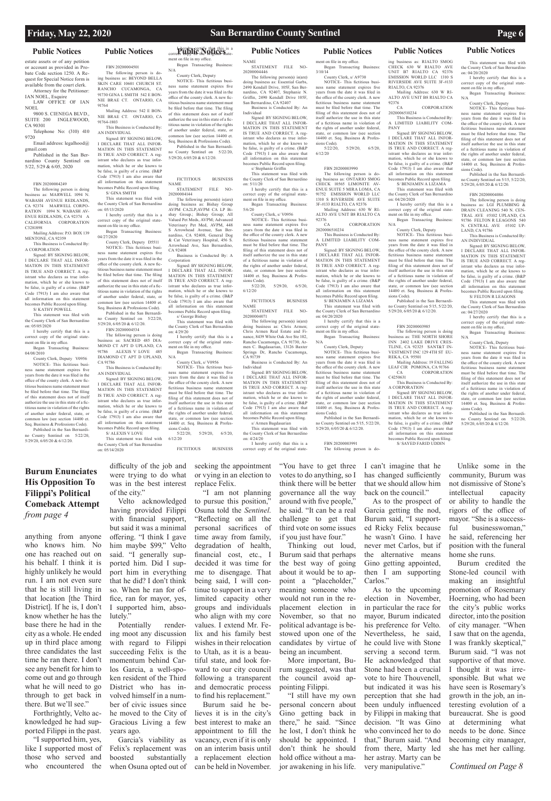### **Burum Enunciates His Opposition To Filippi's Political Comeback Attempt**  *from page 4*

*Continued on Page 8*

estate assets or of any petition or account as provided in Probate Code section 1250. A Request for Special Notice form is available from the court clerk. Attorney for the Petitioner:

IAN NOEL, Esquire LAW OFFICE OF IAN

NOEL 9800 S. CIENEGA BLVD., SUITE 200 INGLEWOOD, CA 90301

Telephone No: (310) 410 9720

Email address: legalhood@ gmail.com

Published in the San Bernardino County Sentinel on 5/22, 5/29 & 6/05, 2020

### FBN 20200004249 The following person is doing

business as: MARWELL 1094 N. WABASH AVENUE REDLANDS, CA 92374 MARWELL CORPO-RATION 1094 N. WABASH AV-ENUE REDLANDS, CA 92374 CALIFORNIA CORPORATION C3281898

Mailing Address: P.O. BOX 139 MENTONE, CA 92359

This Business is Conducted By: A CORPORATION

Signed: BY SIGNING BELOW, I DECLARE THAT ALL INFOR-MATION IN THIS STATEMENT IS TRUE AND CORRECT. A registrant who declares as true information, which he or she knows to be false, is guilty of a crime. (B&P Code 17913) I am also aware that all information on this statement becomes Public Record upon filing.

S/ KATHY POWELL

This statement was filed with the County Clerk of San Bernardino on: 05/05/2020 I hereby certify that this is a

correct copy of the original statement on file in my office.

Began Transacting Business: 04/08/2010

County Clerk, Deputy V0956 NOTICE- This fictitious business name statement expires five years from the date it was filed in the office of the county clerk. A new fictitious business name statement must be filed before that time. The filing of this statement does not of itself authorize the use in this state of a fictitious name in violation of the rights of another under federal, state, or common law (see section 14400 et. Seq. Business & Professions Code).

Published in the San Bernardino County Sentinel on 5/22/20, 5/29/20, 6/05/20 & 6/12/20.

FBN 20200004501

ing business as: BEYOND BELLA SKIN CARE 10601 CHURCH ST. RANCHO CUCAMONGA, CA 91730 GINA L SMITH 542 E BON-NIE BRAE CT. ONTARIO, CA

91764

Mailing Address: 542 E BON-NIE BRAE CT. ONTARIO, CA 91764-1803 This Business is Conducted By: AN INDIVIDUAL

### FICTITIOUS BUSINESS NAME STATEMENT FILE NO-

Signed: BY SIGNING BELOW, I DECLARE THAT ALL INFOR-MATION IN THIS STATEMENT IS TRUE AND CORRECT. A registrant who declares as true information, which he or she knows to be false, is guilty of a crime. (B&P Code 17913) I am also aware that all information on this statement becomes Public Record upon filing. S/ GINA SMITH

This statement was filed with the County Clerk of San Bernardino on: 05/13/2020

I hereby certify that this is a correct copy of the original statement on file in my office. Began Transacting Business:

04/27/2020 County Clerk, Deputy D5511

NOTICE- This fictitious business name statement expires five years from the date it was filed in the office of the county clerk. A new fictitious business name statement must be filed before that time. The filing of this statement does not of itself authorize the use in this state of a fictitious name in violation of the rights

The following person is do-N/A

> ness name statement expires five years from the date it was filed in the office of the county clerk. A new fictitious business name statement must be filed before that time. The filing of this statement does not of itself authorize the use in this state of a fictitious name in violation of the rights 2490 Kendall Drive, 105F, San Ber-nardino, CA 92407, Stephanie N. Griffin, 2490 Kendall Drive 105F, San Bernardino, CA 92407 Business is Conducted By: An Individual Signed: BY SIGNING BELOW, I DECLARE THAT ALL INFOR-MATION IN THIS STATEMENT

of another under federal, state, or common law (see section 14400 et. Seq. Business & Professions Code). Published in the San Bernardino County Sentinel on 5/22/20, 5/29/20, 6/05/20 & 6/12/20.

FBN 20200004534 The following person is doing

business as: SACRED 485 DIA-MOND CT APT D UPLAND, CA 91786 ALEXIS V LOVE 485 DIAMOND CT APT D UPLAND, CA 91786

This Business is Conducted By: AN INDIVIDUAL

Signed: BY SIGNING BELOW, I DECLARE THAT ALL INFOR-MATION IN THIS STATEMENT IS TRUE AND CORRECT. A registrant who declares as true information, which he or she knows to be false, is guilty of a crime. (B&P Code 17913) I am also aware that all information on this statement becomes Public Record upon filing. S/ ALEXIS V LOVE

The following person(s) is(are) doing business as: Chris Armen Chris Armen Real Estate and Finance, 8439 White Oak Ave Ste 102, Rancho Cucamonga, CA 91730, Ar-men C. Bagdasarian, 13126 Baxter Springs Dr, Rancho Cucamonga,

This statement was filed with the County Clerk of San Bernardino on: 05/14/2020

ment on file in my office. Began Transacting Business:

County Clerk, Deputy NOTICE- This fictitious busi-

> Mailing Address: 630 W RI-ALTO AVE UNIT B8 RIALTO CA  $92376$ **CORPORATION**

of another under federal, state, or common law (see section 14400 et. Seq. Business & Professions Code). Published in the San Bernardi-County Sentinel on  $5/22/20$ , 5/29/20, 6/05/20 & 6/12/20.

20200004144 The following person(s) is(are) doing business as: Bishay Group AVPM CA2LP;AVPM CA LP Bishay Group.; Bishay Group; All Valued Pet Meds, AVPM; Advanced

Veterinary Pet Med, AVPM, 448 S Arrowhead Avenue, San Bernardino, CA 92408, General Dog & Cat Veterinary Hospital, 456 S. Arrowhead Ave, San Bernardino, CA 92408 Business is Conducted By: A

Corporation Signed: BY SIGNING BELOW, I DECLARE THAT ALL INFOR-MATION IN THIS STATEMENT IS TRUE AND CORRECT. A reg-istrant who declares as true information, which he or she knows to be false, is guilty of a crime. (B&P Code 17913) I am also aware that

all information on this statement becomes Public Record upon filing. s/ George Bishay This statement was filed with the County Clerk of San Bernardino

on: 4/29/20 I hereby certify that this is a correct copy of the original statement on file in my office. Began Transacting Business:

N/A County Clerk, s/ V0956 NOTICE- This fictitious business name statement expires five years from the date it was filed in the office of the county clerk. A new fictitious business name statement must be filed before that time. The filing of this statement does not of itself authorize the use in this state

Mailing Address: 19 FALLING LEAF CIR POMONA, CA 91766<br>CA CORPORATIO

of a fictitious name in violation of the rights of another under federal, state, or common law (see section 14400 et. Seq. Business & Professions Code).<br>5/22/20, 5/22/20, 5/29/20, 6/5/20, 6/12/20

FICTITIOUS BUSINESS

NAME

20200004446

The following person(s) is(are) doing business as: Essential Garbs,

> Signed: BY SIGNING BELOW, I DECLARE THAT ALL INFOR-MATION IN THIS STATEMENT IS TRUE AND CORRECT. A reg-istrant who declares as true information, which he or she knows to be false, is guilty of a crime. (B&P Code 17913) I am also aware that all information on this statement becomes Public Record upon filing.

IS TRUE AND CORRECT. A registrant who declares as true information, which he or she knows to be false, is guilty of a crime. (B&P Code 17913) I am also aware that all information on this statement becomes Public Record upon filing. s/ Stephanie Griffin This statement was filed with the County Clerk of San Bernardino

on: 5/11/20

I hereby certify that this is a correct copy of the original statement on file in my office.

Began Transacting Business:

5/6/20

County Clerk, s/ V0956 NOTICE- This fictitious business name statement expires five years from the date it was filed in the office of the county clerk. A new fictitious business name statemen must be filed before that time. The filing of this statement does not of itself authorize the use in this state of a fictitious name in violation of the rights of another under federal, state, or common law (see section 14400 et. Seq. Business & Profes-

sions Code).

5/22/20, 5/29/20, 6/5/20,

6/12/20

FICTITIOUS BUSINESS

NAME

STATEMENT FILE NO-

20200004071

CA 91739

Business is Conducted By: An

Individual

Signed: BY SIGNING BELOW, I DECLARE THAT ALL INFOR-MATION IN THIS STATEMENT IS TRUE AND CORRECT. A registrant who declares as true information, which he or she knows to be false, is guilty of a crime. (B&P Code 17913) I am also aware that all information on this statement becomes Public Record upon filing. s/ Armen Bagdasarian This statement was filed with the County Clerk of San Bernardino

on: 4/24/20

STATEMENT FILE

ment on file in my office. Began Transacting Business: 3/10/14

County Clerk, s/ A9730

NOTICE- This fictitious business name statement expires five years from the date it was filed in the office of the county clerk. A new fictitious business name statement must be filed before that time. The filing of this statement does not of itself authorize the use in this state of a fictitious name in violation of the rights of another under federal, or common law (see section 14400 et. Seq. Business & Professions Code). 5/22/20, 5/29/20, 6/5/20,

6/12/20

### FBN 20200003990

The following person is doing business as: ONTARIO SMOG CHECK 10565 LIMONITE AV-ENUE SUITE 5 MIRA LOMA, CA 91752 EMISSION WORLD LLC 1310 S RIVERSIDE AVE SUITE 3F-#133 RIALTO, CA 92376

2020006510234 This Business is Conducted By:

A LIMITED LIABILITY COM-PANY

Signed: BY SIGNING BELOW, I DECLARE THAT ALL INFOR-MATION IN THIS STATEMENT IS TRUE AND CORRECT. A registrant who declares as true information, which he or she knows to be false, is guilty of a crime. (B&P Code 17913) I am also aware that all information on this statement becomes Public Record upon filing. S/ BENJAMIN A LIZAMA

This statement was filed with the County Clerk of San Bernardino

on: 04/20/2020 I hereby certify that this is a

correct copy of the original state-ment on file in my office. Began Transacting Business:

### N/A County Clerk, Deputy

NOTICE- This fictitious business name statement expires five years from the date it was filed in the office of the county clerk. A new fictitious business name statement must be filed before that time. The filing of this statement does not of itself authorize the use in this state of a fictitious name in violation of the rights of another under federal, state, or common law (see section 14400 et. Seq. Business & Professions Code).

Published in the San Bernardi-County Sentinel on 5/15, 5/22/20, 5/29/20, 6/05/20 & 6/12/20.

FBN 20200003991 The following person is doing business as: RIALTO SMOG CHECK 630 W RIALTO AVE

RIALTO, CA 92376

92376<br>CA

ALTO AVE UNIT B8 RIALTO CA

PANY

S/ BENJAMIN A LIZAMA This statement was filed with the County Clerk of San Bernardino

I hereby certify that this is a correct copy of the original state-ment on file in my office. Began Transacting Business:

N/A

County Clerk, Deputy NOTICE- This fictitious business name statement expires five years from the date it was filed in the office of the county clerk. A new fictitious business name statement must be filed before that time. The filing of this statement does not of itself authorize the use in this state of a fictitious name in violation of the rights of another under federal, state, or common law (see section 14400 et. Seq. Business & Profes-

on:  $04/20/2020$ 

UNIT B7 RIALTO CA 92376 EMISSION WORLD LLC RIVERSIDE AVE SUITE 3F-#133 Mailing Address: 630 W RIon: 04/20/2020 I hereby certify that this is a correct copy of the original statement on file in my office.

sions Code).

Published in the San Bernardino County Sentinel on 5/15, 5/22/20, 5/29/20, 6/05/20 & 6/12/20.

FBN 20200003985 The following person is doing business as: THE NORTH SHORE INN 2402 LAKE DRIVE CRES-TLINE, CA 92325 SANT&T IN-VESTMENT INC 129 4TH ST EU-

A LIMITED LIABILITY COM-Signed: BY SIGNING BELOW, I DECLARE THAT ALL INFOR-MATION IN THIS STATEMENT IS TRUE AND CORRECT. A registrant who declares as true information, which he or she knows to be false, is guilty of a crime. (B&P Code 17913) I am also aware that all information on this statement becomes Public Record upon filing. the office of the county clerk. A new fictitious business name statement must be filed before that time. The filing of this statement does not of itself authorize the use in this state of a fictitious name in violation of the rights of another under federal, state, or common law (see section 14400 et. Seq. Business & Professions Code). Published in the San Bernardi-

REKA, CA 95501

C4250631

This Business is Conducted By:

A CORPORATION

Signed: BY SIGNING BELOW, I DECLARE THAT ALL INFOR-MATION IN THIS STATEMENT IS TRUE AND CORRECT. A registrant who declares as true information, which he or she knows to be false, is guilty of a crime. (B&P Code 17913) I am also aware that all information on this statement becomes Public Record upon filing. S/ SAYED FARID UDDIN

CORPORATION

This statement was filed with the County Clerk of San Bernardino

## I hereby certify that this is a correct copy of the original state-"You have to get three votes to do anything, so I

Began Transacting Business: N/A County Clerk, Deputy

CORPORATION 2020006510234 This Business is Conducted By: NOTICE- This fictitious business name statement expires five years from the date it was filed in

> no County Sentinel on 5/15, 5/22/20, 5/29/20, 6/05/20 & 6/12/20.

### FBN 20200004086

The following person is doing business as: LGI PLUMBING & DRAIN CLEANING 540 N. CEN-TRAL AVE #5102 UPLAND, CA 91786 FELTON R LEAGONS 540 CENTRAL AVE #5102 UP-LAND, CA 91786

This Business is Conducted By: AN INDIVIDUAL

S/ FELTON R LEAGONS

This statement was filed with the County Clerk of San Bernardino on: 04/27/2020

I hereby certify that this is a correct copy of the original state-ment on file in my office.

Began Transacting Business: N/A

County Clerk, Deputy

NOTICE- This fictitious busi-ness name statement expires five years from the date it was filed in the office of the county clerk. A new fictitious business name statement must be filed before that time. The filing of this statement does not of itself authorize the use in this state of a fictitious name in violation of the rights of another under federal, state, or common law (see section 14400 et. Seq. Business & Professions Code).

Published in the San Bernardino County Sentinel on 5/22/20, 5/29/20, 6/05/20 & 6/12/20.

anything from anyone who knows him. No one has reached out on his behalf. I think it is highly unlikely he would run. I am not even sure that he is still living in that location [the Third District]. If he is, I don't know whether he has the base there he had in the city as a whole. He ended up in third place among three candidates the last time he ran there. I don't see any benefit for him to come out and go through what he will need to go through to get back in there. But we'll see."

Forthrightly, Velto acknowledged he had supported Filippi in the past.

"I supported him, yes, like I supported most of those who served and who encountered the difficulty of the job and were trying to do what was in the best interest of the city."

Velto acknowledged having provided Filippi with financial support, but said it was a minimal offering. "I think I gave him maybe \$99," Velto said. "I generally supported him. Did I support him in everything that he did? I don't think so. When he ran for office, ran for mayor, yes, I supported him, absolutely." Potentially rendering moot any discussion with regard to Filippi succeeding Felix is the momentum behind Carlos Garcia, a well-spoken resident of the Third District who has involved himself in a number of civic issues since he moved to the City of Gracious Living a few years ago. Garcia's viability as Felix's replacement was boosted substantially when Osuna opted out of

## **Public Notices Public Notices Public Notices Public Rotify that this is a Public Notices Public Notices Public Notices Public Notices**

seeking the appointment or vying in an election to replace Felix.

"I am not planning to pursue this position," Osuna told the *Sentinel*. "Reflecting on all the personal sacrifices of time away from family, degradation of health, financial cost, etc., I decided it was time for me to disengage. That being said, I will continue to support in a very limited capacity other groups and individuals who align with my core values. I extend Mr. Felix and his family best wishes in their relocation to Utah, as it is a beautiful state, and look forward to our city council following a transparent and democratic process to find his replacement." Burum said he believes it is in the city's best interest to make an appointment to fill the vacancy, even if it is only on an interim basis until a replacement election can be held in November.

think there will be better governance all the way around with five people," he said. "It can be a real challenge to get that third vote on some issues if you just have four."

Thinking out loud, Burum said that perhaps the best way of going about it would be to appoint a "placeholder," meaning someone who would not run in the replacement election in November, so that no political advantage is bestowed upon one of the candidates by virtue of being an incumbent. More important, Burum suggested, was that the council avoid ap-

pointing Filippi. "I still have my own personal concern about Gino getting back in there," he said. "Since he lost, I don't think he should be appointed. I don't think he should hold office without a major awakening in his life.

I can't imagine that he has changed sufficiently that we should allow him back on the council."

As to the prospect of Garcia getting the nod, Burum said, "I supported Ricky Felix because he wasn't Gino. I have never met Carlos, but if the alternative means Gino getting appointed, then I am supporting Carlos."

As to the upcoming election in November, in particular the race for mayor, Burum indicated his preference for Velto. Nevertheless, he said, he could live with Stone serving a second term. He acknowledged that Stone had been a crucial vote to hire Thouvenell, but indicated it was his perception that she had been unduly influenced by Filippi in making that decision. "It was Gino who convinced her to do that," Burum said. "And from there, Marty led her astray. Marty can be very manipulative."

Unlike some in the community, Burum was not dismissive of Stone's intellectual capacity or ability to handle the rigors of the office of mayor. "She is a successful businesswoman," he said, referencing her position with the funeral home she runs.

Burum credited the Stone-led council with making an insightful promotion of Rosemary Hoerning, who had been the city's public works director, into the position of city manager. "When I saw that on the agenda, I was frankly skeptical," Burum said. "I was not supportive of that move. I thought it was irresponsible. But what we have seen is Rosemary's growth in the job, an interesting evolution of a bureaucrat. She is good at determining what needs to be done. Since becoming city manager, she has met her calling.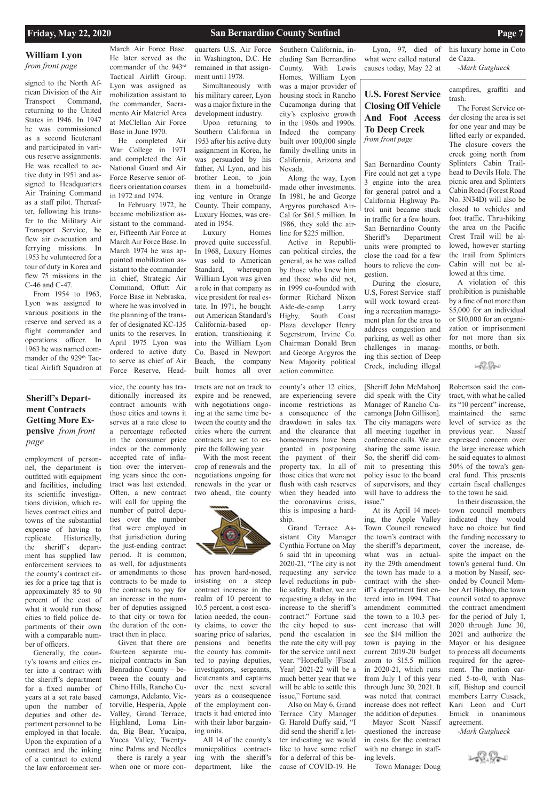### **William Lyon**  *from front page*

## **U.S. Forest Service Closing Off Vehicle And Foot Access To Deep Creek** *from front page*

### **Friday, May 22, 2020 San Bernardino County Sentinel Page 7**

**Sheriff's Department Contracts Getting More Expensive** *from front page* 

employment of personnel, the department is outfitted with equipment and facilities, including its scientific investigations division, which relieves contract cities and towns of the substantial expense of having to replicate. Historically, the sheriff's department has supplied law enforcement services to the county's contract cities for a price tag that is approximately 85 to 90 percent of the cost of what it would run those cities to field police departments of their own with a comparable number of officers. Generally, the county's towns and cities enter into a contract with the sheriff's department for a fixed number of years at a set rate based upon the number of deputies and other department personnel to be employed in that locale. Upon the expiration of a contract and the inking of a contract to extend the law enforcement service, the county has tra-

ditionally increased its contract amounts with those cities and towns it serves at a rate close to a percentage reflected in the consumer price index or the commonly accepted rate of inflation over the intervening years since the contract was last extended. Often, a new contract will call for upping the number of patrol deputies over the number that were employed in that jurisdiction during the just-ending contract period. It is common, as well, for adjustments or amendments to those contracts to be made to the contracts to pay for an increase in the number of deputies assigned to that city or town for the duration of the con-

tract then in place.

Given that there are fourteen separate municipal contracts in San Benradino County – between the county and Chino Hills, Rancho Cucamonga, Adelanto, Victorville, Hesperia, Apple Valley, Grand Terrace, Highland, Loma Linda, Big Bear, Yucaipa, Yucca Valley, Twentynine Palms and Needles – there is rarely a year when one or more contracts are not on track to expire and be renewed, with negotiations ongoing at the same time between the county and the cities where the current contracts are set to expire the following year.

With the most recent crop of renewals and the negotiations ongoing for renewals in the year or two ahead, the county



county's other 12 cities, are experiencing severe income restrictions as a consequence of the drawdown in sales tax and the clearance that homeowners have been granted in postponing the payment of their property tax. In all of those cities that were not flush with cash reserves when they headed into the coronavirus crisis, this is imposing a hardship.

Grand Terrace Assistant City Manager Cynthia Fortune on May 6 said tht in upcoming 2020-21, "The city is not requesting any service level reductions in public safety. Rather, we are requesting a delay in the increase to the sheriff's contract." Fortune said the city hoped to suspend the escalation in the rate the city will pay for the service until next year. "Hopefully [Fiscal Year] 2021-22 will be a much better year that we will be able to settle this issue," Fortune said. Also on May 6, Grand Terrace City Manager G. Harold Duffy said, "I did send the sheriff a letter indicating we would like to have some relief for a deferral of this because of COVID-19. He

[Sheriff John McMahon] did speak with the City Manager of Rancho Cucamonga [John Gillison]. The city managers were all meeting together in conference calls. We are sharing the same issue. So, the sheriff did commit to presenting this policy issue to the board of supervisors, and they will have to address the issue."

At its April 14 meeting, the Apple Valley Town Council renewed the town's contract with the sheriff's department, what was in actuality the 29th amendment the town has made to a contract with the sheriff's department first entered into in 1994. That amendment committed the town to a 10.3 percent increase that will see the \$14 million the town is paying in the current 2019-20 budget zoom to \$15.5 million in 2020-21, which runs from July 1 of this year through June 30, 2021. It was noted that contract increase does not reflect the addition of deputies. Mayor Scott Nassif questioned the increase in costs for the contract with no change in staffing levels.

Town Manager Doug

Robertson said the contract, with what he called its "10 percent" increase, maintained the same level of service as the previous year. Nassif expressed concern over the large increase which he said equates to almost 50% of the town's general fund. This presents certain fiscal challenges to the town he said.

In their discussion, the town council members indicated they would have no choice but find the funding necessary to cover the increase, despite the impact on the town's general fund. On a motion by Nassif, seconded by Council Member Art Bishop, the town council voted to approve the contract amendment for the period of July 1, 2020 through June 30, 2021 and authorize the Mayor or his designee to process all documents required for the agreement. The motion carried 5-to-0, with Nassiff, Bishop and council members Larry Cusack, Kari Leon and Curt Emick in unanimous agreement.

*-Mark Gutglueck*



signed to the North African Division of the Air Transport Command, returning to the United States in 1946. In 1947 he was commissioned as a second lieutenant and participated in various reserve assignments. He was recalled to active duty in 1951 and assigned to Headquarters Air Training Command as a staff pilot. Thereafter, following his transfer to the Military Air Transport Service, he flew air evacuation and ferrying missions. In 1953 he volunteered for a tour of duty in Korea and flew 75 missions in the C-46 and C-47.

From 1954 to 1963, Lyon was assigned to various positions in the reserve and served as a flight commander and operations officer. In 1963 he was named commander of the 929<sup>th</sup> Tactical Airlift Squadron at

March Air Force Base. He later served as the commander of the 943rd Tactical Airlift Group. Lyon was assigned as mobilization assistant to the commander, Sacramento Air Materiel Area at McClellan Air Force Base in June 1970.

He completed Air War College in 1971 and completed the Air National Guard and Air Force Reserve senior officers orientation courses in 1972 and 1974.

In February 1972, he became mobilization assistant to the commander, Fifteenth Air Force at March Air Force Base. In March 1974 he was appointed mobilization assistant to the commander in chief, Strategic Air Command, Offutt Air Force Base in Nebraska, where he was involved in the planning of the transfer of designated KC-135 units to the reserves. In April 1975 Lyon was ordered to active duty to serve as chief of Air Force Reserve, Head-

quarters U.S. Air Force in Washington, D.C. He remained in that assignment until 1978.

Simultaneously with his military career, Lyon was a major fixture in the development industry.

Upon returning to Southern California in 1953 after his active duty assignment in Korea, he was persuaded by his father, Al Lyon, and his brother Leon, to join them in a homebuilding venture in Orange County. Their company, Luxury Homes, was created in 1954.

Luxury Homes proved quite successful. In 1968, Luxury Homes was sold to American Standard, whereupon William Lyon was given a role in that company as vice president for real estate. In 1971, he bought out American Standard's California-based operation, transitioning it into the William Lyon Co. Based in Newport Beach, the company built homes all over Southern California, in-

cluding San Bernardino County. With Lewis Homes, William Lyon was a major provider of housing stock in Rancho Cucamonga during that city's explosive growth in the 1980s and 1990s. Indeed the company built over 100,000 single family dwelling units in California, Arizona and Nevada.

Along the way, Lyon made other investments. In 1981, he and George Argyros purchased Air-Cal for \$61.5 million. In 1986, they sold the airline for \$225 million.

Active in Republican political circles, the general, as he was called by those who knew him and those who did not, in 1999 co-founded with former Richard Nixon Aide-de-camp Larry Higby, South Coast Plaza developer Henry Segerstrom, Irvine Co. Chairman Donald Bren and George Argyros the New Majority political action committee.

Lyon, 97, died of what were called natural causes today, May 22 at

his luxury home in Coto de Caza.

-*Mark Gutglueck*

San Bernardino County Fire could not get a type 3 engine into the area for general patrol and a California Highway Patrol unit became stuck in traffic for a few hours. San Bernardino County Sheriff's Department units were prompted to close the road for a few hours to relieve the congestion.

During the closure, U.S, Forest Service staff will work toward creating a recreation management plan for the area to address congestion and parking, as well as other challenges in managing this section of Deep Creek, including illegal

campfires, graffiti and trash.

The Forest Service order closing the area is set for one year and may be lifted early or expanded. The closure covers the creek going north from Splinters Cabin Trailhead to Devils Hole. The picnic area and Splinters Cabin Road (Forest Road No. 3N34D) will also be closed to vehicles and foot traffic. Thru-hiking the area on the Pacific Crest Trail will be allowed, however starting the trail from Splinters Cabin will not be allowed at this time.

A violation of this prohibition is punishable by a fine of not more than \$5,000 for an individual or \$10,000 for an organization or imprisonment for not more than six months, or both.

### 249. Pro

has proven hard-nosed, insisting on a steep contract increase in the realm of 10 percent to 10.5 percent, a cost escalation needed, the county claims, to cover the soaring price of salaries, pensions and benefits the county has committed to paying deputies, investigators, sergeants, lieutenants and captains over the next several years as a consequence of the employment contracts it had entered into with their labor bargaining units. All 14 of the county's municpalities contracting with the sheriff's department, like the